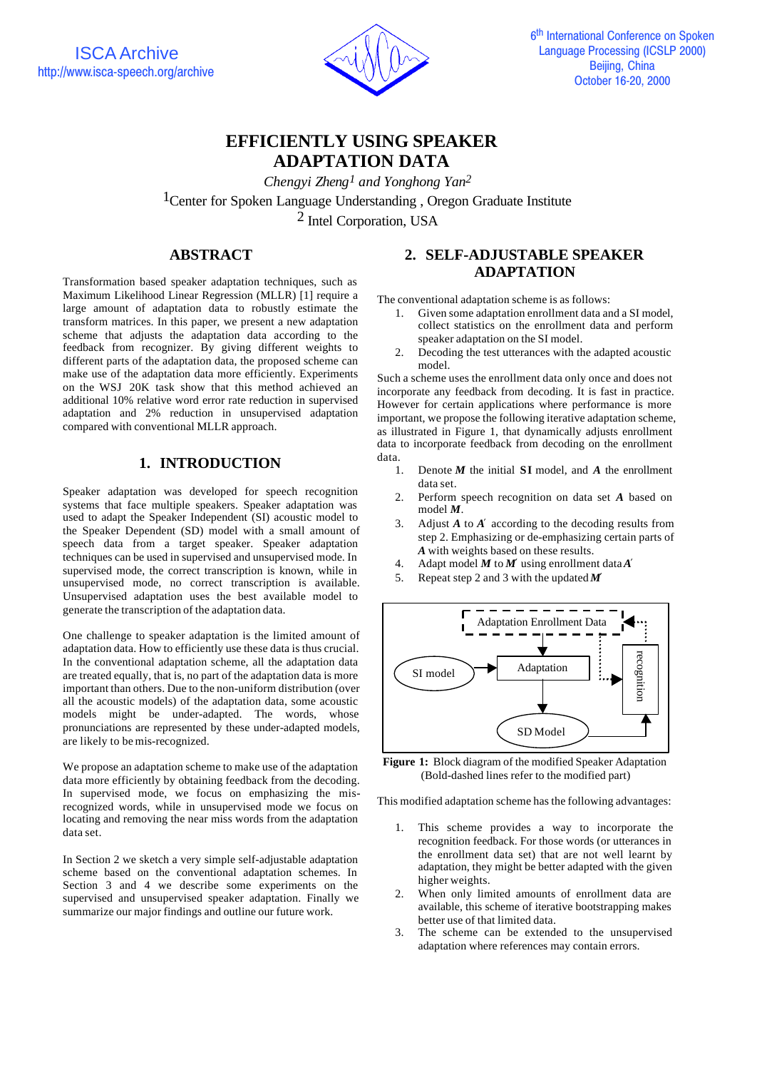

# **EFFICIENTLY USING SPEAKER ADAPTATION DATA**

*Chengyi Zheng1 and Yonghong Yan2* <sup>1</sup>Center for Spoken Language Understanding, Oregon Graduate Institute 2 Intel Corporation, USA

# **ABSTRACT**

Transformation based speaker adaptation techniques, such as Maximum Likelihood Linear Regression (MLLR) [1] require a large amount of adaptation data to robustly estimate the transform matrices. In this paper, we present a new adaptation scheme that adjusts the adaptation data according to the feedback from recognizer. By giving different weights to different parts of the adaptation data, the proposed scheme can make use of the adaptation data more efficiently. Experiments on the WSJ 20K task show that this method achieved an additional 10% relative word error rate reduction in supervised adaptation and 2% reduction in unsupervised adaptation compared with conventional MLLR approach.

# **1. INTRODUCTION**

Speaker adaptation was developed for speech recognition systems that face multiple speakers. Speaker adaptation was used to adapt the Speaker Independent (SI) acoustic model to the Speaker Dependent (SD) model with a small amount of speech data from a target speaker. Speaker adaptation techniques can be used in supervised and unsupervised mode. In supervised mode, the correct transcription is known, while in unsupervised mode, no correct transcription is available. Unsupervised adaptation uses the best available model to generate the transcription of the adaptation data.

One challenge to speaker adaptation is the limited amount of adaptation data. How to efficiently use these data is thus crucial. In the conventional adaptation scheme, all the adaptation data are treated equally, that is, no part of the adaptation data is more important than others. Due to the non-uniform distribution (over all the acoustic models) of the adaptation data, some acoustic models might be under-adapted. The words, whose pronunciations are represented by these under-adapted models, are likely to be mis-recognized.

We propose an adaptation scheme to make use of the adaptation data more efficiently by obtaining feedback from the decoding. In supervised mode, we focus on emphasizing the misrecognized words, while in unsupervised mode we focus on locating and removing the near miss words from the adaptation data set.

In Section 2 we sketch a very simple self-adjustable adaptation scheme based on the conventional adaptation schemes. In Section 3 and 4 we describe some experiments on the supervised and unsupervised speaker adaptation. Finally we summarize our major findings and outline our future work.

#### **2. SELF-ADJUSTABLE SPEAKER ADAPTATION**

The conventional adaptation scheme is as follows:

- 1. Given some adaptation enrollment data and a SI model, collect statistics on the enrollment data and perform speaker adaptation on the SI model.
- 2. Decoding the test utterances with the adapted acoustic model.

Such a scheme uses the enrollment data only once and does not incorporate any feedback from decoding. It is fast in practice. However for certain applications where performance is more important, we propose the following iterative adaptation scheme, as illustrated in Figure 1, that dynamically adjusts enrollment data to incorporate feedback from decoding on the enrollment data.

- 1. Denote *M* the initial **SI** model, and *A* the enrollment data set.
- 2. Perform speech recognition on data set *A* based on model *M*.
- 3. Adjust *A* to *A¢* according to the decoding results from step 2. Emphasizing or de-emphasizing certain parts of *A* with weights based on these results.
- 4. Adapt model *M* to *M¢* using enrollment data *A¢*
- 5. Repeat step 2 and 3 with the updated *M¢*



**Figure 1:** Block diagram of the modified Speaker Adaptation (Bold-dashed lines refer to the modified part)

This modified adaptation scheme has the following advantages:

- 1. This scheme provides a way to incorporate the recognition feedback. For those words (or utterances in the enrollment data set) that are not well learnt by adaptation, they might be better adapted with the given higher weights.
- 2. When only limited amounts of enrollment data are available, this scheme of iterative bootstrapping makes better use of that limited data.
- 3. The scheme can be extended to the unsupervised adaptation where references may contain errors.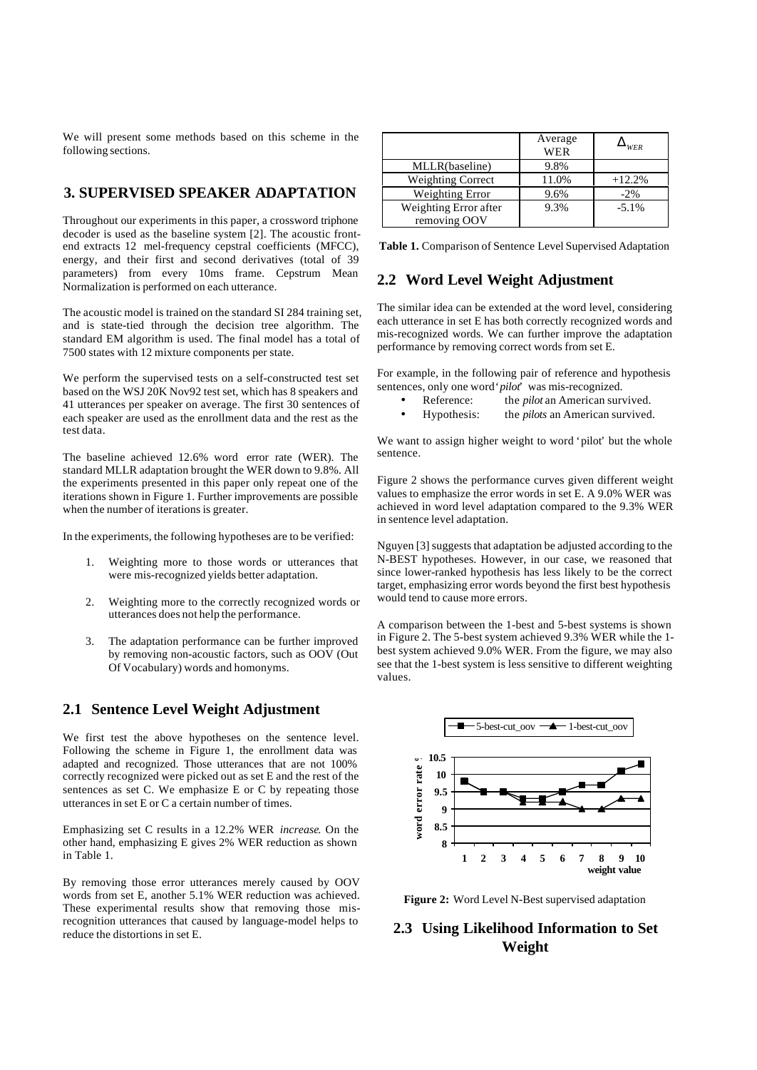We will present some methods based on this scheme in the following sections.

#### **3. SUPERVISED SPEAKER ADAPTATION**

Throughout our experiments in this paper, a crossword triphone decoder is used as the baseline system [2]. The acoustic frontend extracts 12 mel-frequency cepstral coefficients (MFCC), energy, and their first and second derivatives (total of 39 parameters) from every 10ms frame. Cepstrum Mean Normalization is performed on each utterance.

The acoustic model is trained on the standard SI 284 training set, and is state-tied through the decision tree algorithm. The standard EM algorithm is used. The final model has a total of 7500 states with 12 mixture components per state.

We perform the supervised tests on a self-constructed test set based on the WSJ 20K Nov92 test set, which has 8 speakers and 41 utterances per speaker on average. The first 30 sentences of each speaker are used as the enrollment data and the rest as the test data.

The baseline achieved 12.6% word error rate (WER). The standard MLLR adaptation brought the WER down to 9.8%. All the experiments presented in this paper only repeat one of the iterations shown in Figure 1. Further improvements are possible when the number of iterations is greater.

In the experiments, the following hypotheses are to be verified:

- 1. Weighting more to those words or utterances that were mis-recognized yields better adaptation.
- 2. Weighting more to the correctly recognized words or utterances does not help the performance.
- 3. The adaptation performance can be further improved by removing non-acoustic factors, such as OOV (Out Of Vocabulary) words and homonyms.

#### **2.1 Sentence Level Weight Adjustment**

We first test the above hypotheses on the sentence level. Following the scheme in Figure 1, the enrollment data was adapted and recognized. Those utterances that are not 100% correctly recognized were picked out as set E and the rest of the sentences as set C. We emphasize E or C by repeating those utterances in set E or C a certain number of times.

Emphasizing set C results in a 12.2% WER *increase*. On the other hand, emphasizing E gives 2% WER reduction as shown in Table 1.

By removing those error utterances merely caused by OOV words from set E, another 5.1% WER reduction was achieved. These experimental results show that removing those misrecognition utterances that caused by language-model helps to reduce the distortions in set E.

|                          | Average<br>WER | <b>WER</b> |
|--------------------------|----------------|------------|
| MLLR(baseline)           | 9.8%           |            |
| <b>Weighting Correct</b> | 11.0%          | $+12.2%$   |
| Weighting Error          | 9.6%           | $-2\%$     |
| Weighting Error after    | 9.3%           | $-5.1%$    |
| removing OOV             |                |            |

**Table 1.** Comparison of Sentence Level Supervised Adaptation

#### **2.2 Word Level Weight Adjustment**

The similar idea can be extended at the word level, considering each utterance in set E has both correctly recognized words and mis-recognized words. We can further improve the adaptation performance by removing correct words from set E.

For example, in the following pair of reference and hypothesis sentences, only one word '*pilot*' was mis-recognized.

- Reference: the *pilot* an American survived.
- Hypothesis: the *pilots* an American survived.

We want to assign higher weight to word 'pilot' but the whole sentence.

Figure 2 shows the performance curves given different weight values to emphasize the error words in set E. A 9.0% WER was achieved in word level adaptation compared to the 9.3% WER in sentence level adaptation.

Nguyen [3] suggests that adaptation be adjusted according to the N-BEST hypotheses. However, in our case, we reasoned that since lower-ranked hypothesis has less likely to be the correct target, emphasizing error words beyond the first best hypothesis would tend to cause more errors.

A comparison between the 1-best and 5-best systems is shown in Figure 2. The 5-best system achieved 9.3% WER while the 1 best system achieved 9.0% WER. From the figure, we may also see that the 1-best system is less sensitive to different weighting values.



**Figure 2:** Word Level N-Best supervised adaptation

# **2.3 Using Likelihood Information to Set Weight**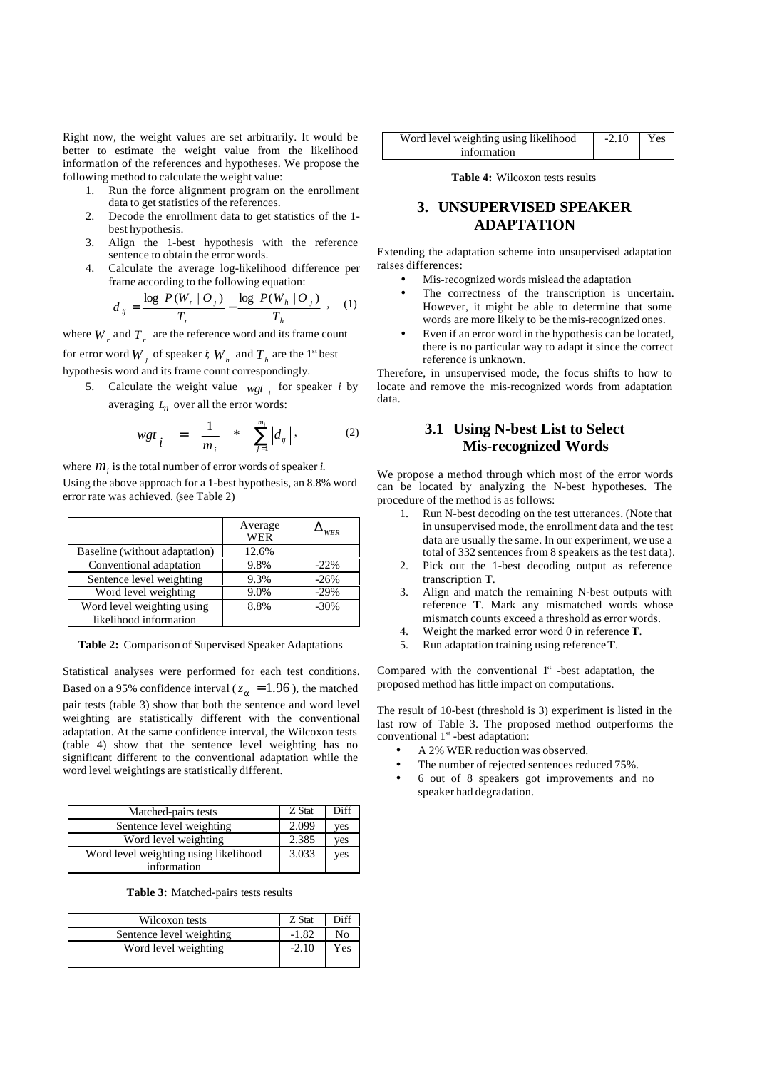Right now, the weight values are set arbitrarily. It would be better to estimate the weight value from the likelihood information of the references and hypotheses. We propose the following method to calculate the weight value:

- 1. Run the force alignment program on the enrollment data to get statistics of the references.
- 2. Decode the enrollment data to get statistics of the 1 best hypothesis.
- 3. Align the 1-best hypothesis with the reference sentence to obtain the error words.
- 4. Calculate the average log-likelihood difference per frame according to the following equation:

$$
d_{ij} = \frac{\log P(W_r | O_j)}{T_r} - \frac{\log P(W_h | O_j)}{T_h} , \quad (1)
$$

where  $W_r$  and  $T_r$  are the reference word and its frame count for error word  $W_j$  of speaker  $\dot{\mathbf{r}}$ ,  $W_h$  and  $T_h$  are the 1<sup>st</sup> best hypothesis word and its frame count correspondingly.

5. Calculate the weight value  $wgt_i$  for speaker *i* by averaging  $L_n$  over all the error words:

$$
wgt_i = \frac{1}{m_i} * \sum_{j=1}^{m_i} |d_{ij}|,
$$
 (2)

where  $m<sub>i</sub>$  is the total number of error words of speaker *i*. Using the above approach for a 1-best hypothesis, an 8.8% word error rate was achieved. (see Table 2)

|                                                      | Average<br>WER | <b>WFR</b> |
|------------------------------------------------------|----------------|------------|
| Baseline (without adaptation)                        | 12.6%          |            |
| Conventional adaptation                              | 9.8%           | $-22%$     |
| Sentence level weighting                             | 9.3%           | $-26%$     |
| Word level weighting                                 | 9.0%           | $-29%$     |
| Word level weighting using<br>likelihood information | 8.8%           | $-30%$     |

**Table 2:** Comparison of Supervised Speaker Adaptations

Statistical analyses were performed for each test conditions. Based on a 95% confidence interval ( $z_a$  = 1.96), the matched pair tests (table 3) show that both the sentence and word level weighting are statistically different with the conventional adaptation. At the same confidence interval, the Wilcoxon tests (table 4) show that the sentence level weighting has no significant different to the conventional adaptation while the word level weightings are statistically different.

| Matched-pairs tests                   | Z Stat | Diff |
|---------------------------------------|--------|------|
| Sentence level weighting              | 2.099  | ves  |
| Word level weighting                  | 2.385  | ves  |
| Word level weighting using likelihood | 3.033  | yes  |
| information                           |        |      |

**Table 3:** Matched-pairs tests results

| Z Stat  | Diff |
|---------|------|
| $-1.82$ | No   |
| $-2.10$ | Yes  |
|         |      |

| Word level weighting using likelihood | $-2.10$ Yes |  |
|---------------------------------------|-------------|--|
| information                           |             |  |

**Table 4:** Wilcoxon tests results

# **3. UNSUPERVISED SPEAKER ADAPTATION**

Extending the adaptation scheme into unsupervised adaptation raises differences:

- Mis-recognized words mislead the adaptation
- The correctness of the transcription is uncertain. However, it might be able to determine that some words are more likely to be the mis-recognized ones.
- Even if an error word in the hypothesis can be located, there is no particular way to adapt it since the correct reference is unknown.

Therefore, in unsupervised mode, the focus shifts to how to locate and remove the mis-recognized words from adaptation data.

### **3.1 Using N-best List to Select Mis-recognized Words**

We propose a method through which most of the error words can be located by analyzing the N-best hypotheses. The procedure of the method is as follows:

- 1. Run N-best decoding on the test utterances. (Note that in unsupervised mode, the enrollment data and the test data are usually the same. In our experiment, we use a total of 332 sentences from 8 speakers as the test data).
- 2. Pick out the 1-best decoding output as reference transcription **T**.
- 3. Align and match the remaining N-best outputs with reference **T**. Mark any mismatched words whose mismatch counts exceed a threshold as error words.
- 4. Weight the marked error word 0 in reference **T**.
- 5. Run adaptation training using reference **T**.

Compared with the conventional  $1<sup>st</sup>$  -best adaptation, the proposed method has little impact on computations.

The result of 10-best (threshold is 3) experiment is listed in the last row of Table 3. The proposed method outperforms the conventional  $1<sup>st</sup>$  -best adaptation:

- A 2% WER reduction was observed.
- The number of rejected sentences reduced 75%.
- 6 out of 8 speakers got improvements and no speaker had degradation.